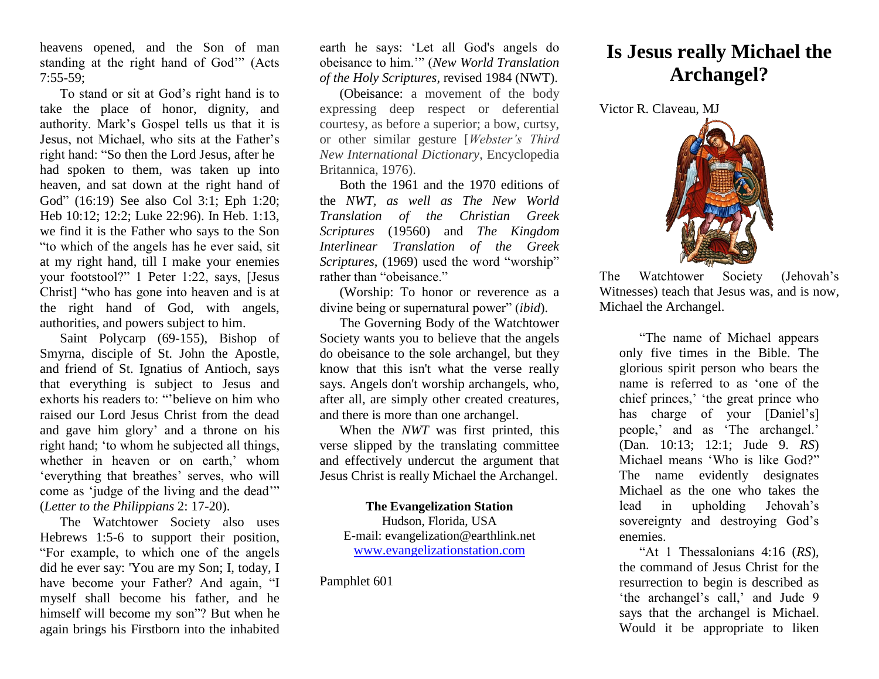heavens opened, and the Son of man standing at the right hand of God'" (Acts 7:55-59;

To stand or sit at God's right hand is to take the place of honor, dignity, and authority. Mark's Gospel tells us that it is Jesus, not Michael, who sits at the Father's right hand: "So then the Lord Jesus, after he had spoken to them, was taken up into heaven, and sat down at the right hand of God" (16:19) See also Col 3:1; Eph 1:20; Heb 10:12; 12:2; Luke 22:96). In Heb. 1:13, we find it is the Father who says to the Son "to which of the angels has he ever said, sit at my right hand, till I make your enemies your footstool?" 1 Peter 1:22, says, [Jesus Christ] "who has gone into heaven and is at the right hand of God, with angels, authorities, and powers subject to him.

Saint Polycarp (69-155), Bishop of Smyrna, disciple of St. John the Apostle, and friend of St. Ignatius of Antioch, says that everything is subject to Jesus and exhorts his readers to: "'believe on him who raised our Lord Jesus Christ from the dead and gave him glory' and a throne on his right hand; 'to whom he subjected all things, whether in heaven or on earth,' whom 'everything that breathes' serves, who will come as 'judge of the living and the dead'" (*Letter to the Philippians* 2: 17-20).

The Watchtower Society also uses Hebrews 1:5-6 to support their position, "For example, to which one of the angels did he ever say: 'You are my Son; I, today, I have become your Father? And again, "I myself shall become his father, and he himself will become my son"? But when he again brings his Firstborn into the inhabited earth he says: 'Let all God's angels do obeisance to him.'" (*New World Translation of the Holy Scriptures,* revised 1984 (NWT).

(Obeisance: a movement of the body expressing deep respect or deferential courtesy, as before a superior; a bow, curtsy, or other similar gesture [*Webster's Third New International Dictionary*, Encyclopedia Britannica, 1976).

Both the 1961 and the 1970 editions of the *NWT, as well as The New World Translation of the Christian Greek Scriptures* (19560) and *The Kingdom Interlinear Translation of the Greek Scriptures*, (1969) used the word "worship" rather than "obeisance."

(Worship: To honor or reverence as a divine being or supernatural power" (*ibid*).

The Governing Body of the Watchtower Society wants you to believe that the angels do obeisance to the sole archangel, but they know that this isn't what the verse really says. Angels don't worship archangels, who, after all, are simply other created creatures, and there is more than one archangel.

When the *NWT* was first printed, this verse slipped by the translating committee and effectively undercut the argument that Jesus Christ is really Michael the Archangel.

## **The Evangelization Station**

Hudson, Florida, USA E-mail: evangelization@earthlink.net [www.evangelizationstation.com](http://www.pjpiisoe.org/)

Pamphlet 601

## **Is Jesus really Michael the Archangel?**

Victor R. Claveau, MJ



The Watchtower Society (Jehovah's Witnesses) teach that Jesus was, and is now, Michael the Archangel.

"The name of Michael appears only five times in the Bible. The glorious spirit person who bears the name is referred to as 'one of the chief princes,' 'the great prince who has charge of your [Daniel's] people,' and as 'The archangel.' (Dan. 10:13; 12:1; Jude 9. *RS*) Michael means 'Who is like God?" The name evidently designates Michael as the one who takes the lead in upholding Jehovah's sovereignty and destroying God's enemies.

"At 1 Thessalonians 4:16 (*RS*), the command of Jesus Christ for the resurrection to begin is described as 'the archangel's call,' and Jude 9 says that the archangel is Michael. Would it be appropriate to liken